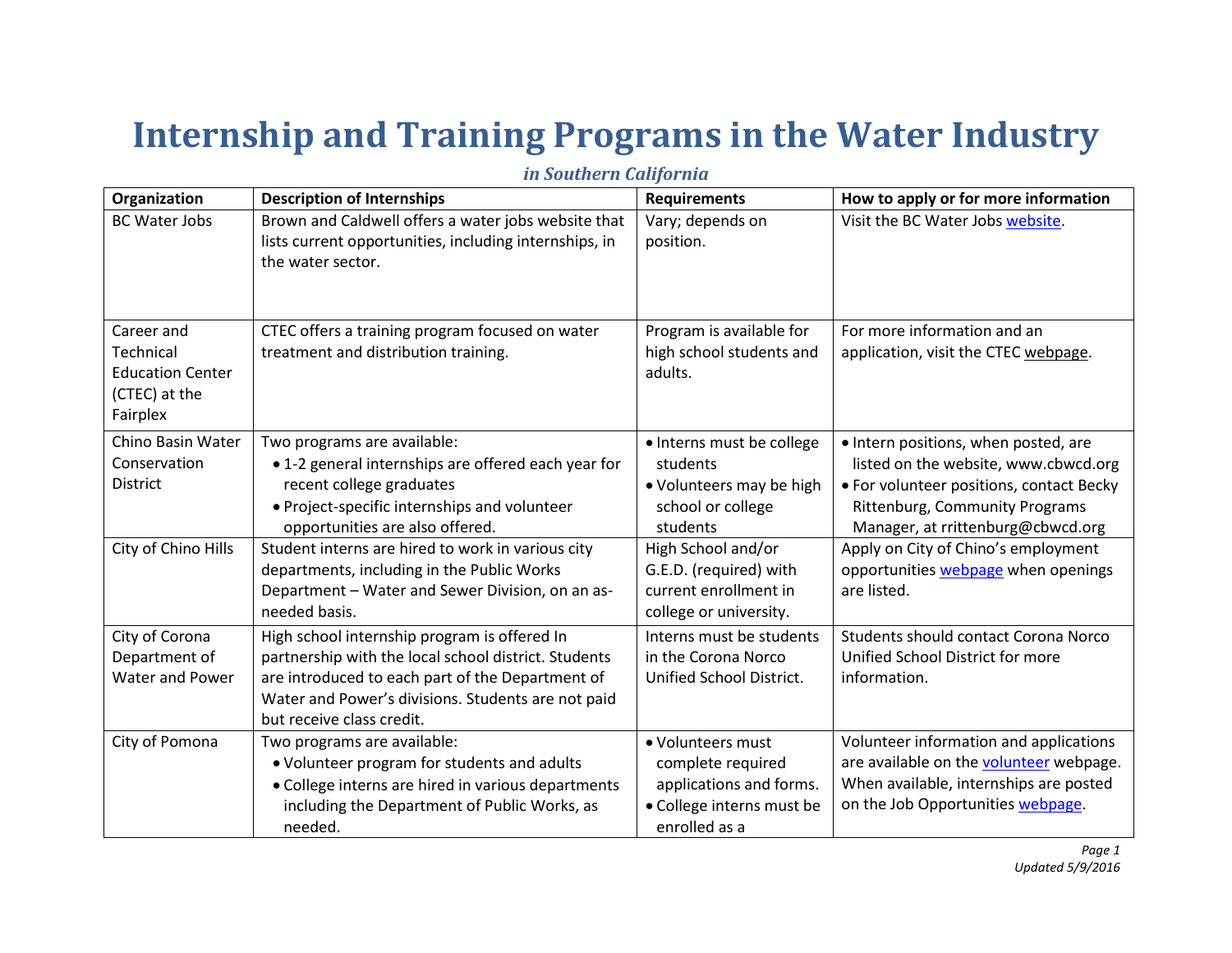## **Internship and Training Programs in the Water Industry**

| Organization                                                                    | <b>Description of Internships</b>                                                                                                                                                                                                           | <b>Requirements</b>                                                                                             | How to apply or for more information                                                                                                                                                            |
|---------------------------------------------------------------------------------|---------------------------------------------------------------------------------------------------------------------------------------------------------------------------------------------------------------------------------------------|-----------------------------------------------------------------------------------------------------------------|-------------------------------------------------------------------------------------------------------------------------------------------------------------------------------------------------|
| <b>BC Water Jobs</b>                                                            | Brown and Caldwell offers a water jobs website that<br>lists current opportunities, including internships, in<br>the water sector.                                                                                                          | Vary; depends on<br>position.                                                                                   | Visit the BC Water Jobs website.                                                                                                                                                                |
| Career and<br>Technical<br><b>Education Center</b><br>(CTEC) at the<br>Fairplex | CTEC offers a training program focused on water<br>treatment and distribution training.                                                                                                                                                     | Program is available for<br>high school students and<br>adults.                                                 | For more information and an<br>application, visit the CTEC webpage.                                                                                                                             |
| Chino Basin Water<br>Conservation<br><b>District</b>                            | Two programs are available:<br>• 1-2 general internships are offered each year for<br>recent college graduates<br>• Project-specific internships and volunteer<br>opportunities are also offered.                                           | · Interns must be college<br>students<br>• Volunteers may be high<br>school or college<br>students              | · Intern positions, when posted, are<br>listed on the website, www.cbwcd.org<br>• For volunteer positions, contact Becky<br>Rittenburg, Community Programs<br>Manager, at rrittenburg@cbwcd.org |
| City of Chino Hills                                                             | Student interns are hired to work in various city<br>departments, including in the Public Works<br>Department - Water and Sewer Division, on an as-<br>needed basis.                                                                        | High School and/or<br>G.E.D. (required) with<br>current enrollment in<br>college or university.                 | Apply on City of Chino's employment<br>opportunities webpage when openings<br>are listed.                                                                                                       |
| City of Corona<br>Department of<br>Water and Power                              | High school internship program is offered In<br>partnership with the local school district. Students<br>are introduced to each part of the Department of<br>Water and Power's divisions. Students are not paid<br>but receive class credit. | Interns must be students<br>in the Corona Norco<br>Unified School District.                                     | Students should contact Corona Norco<br>Unified School District for more<br>information.                                                                                                        |
| City of Pomona                                                                  | Two programs are available:<br>• Volunteer program for students and adults<br>• College interns are hired in various departments<br>including the Department of Public Works, as<br>needed.                                                 | · Volunteers must<br>complete required<br>applications and forms.<br>• College interns must be<br>enrolled as a | Volunteer information and applications<br>are available on the volunteer webpage.<br>When available, internships are posted<br>on the Job Opportunities webpage.                                |

*in Southern California*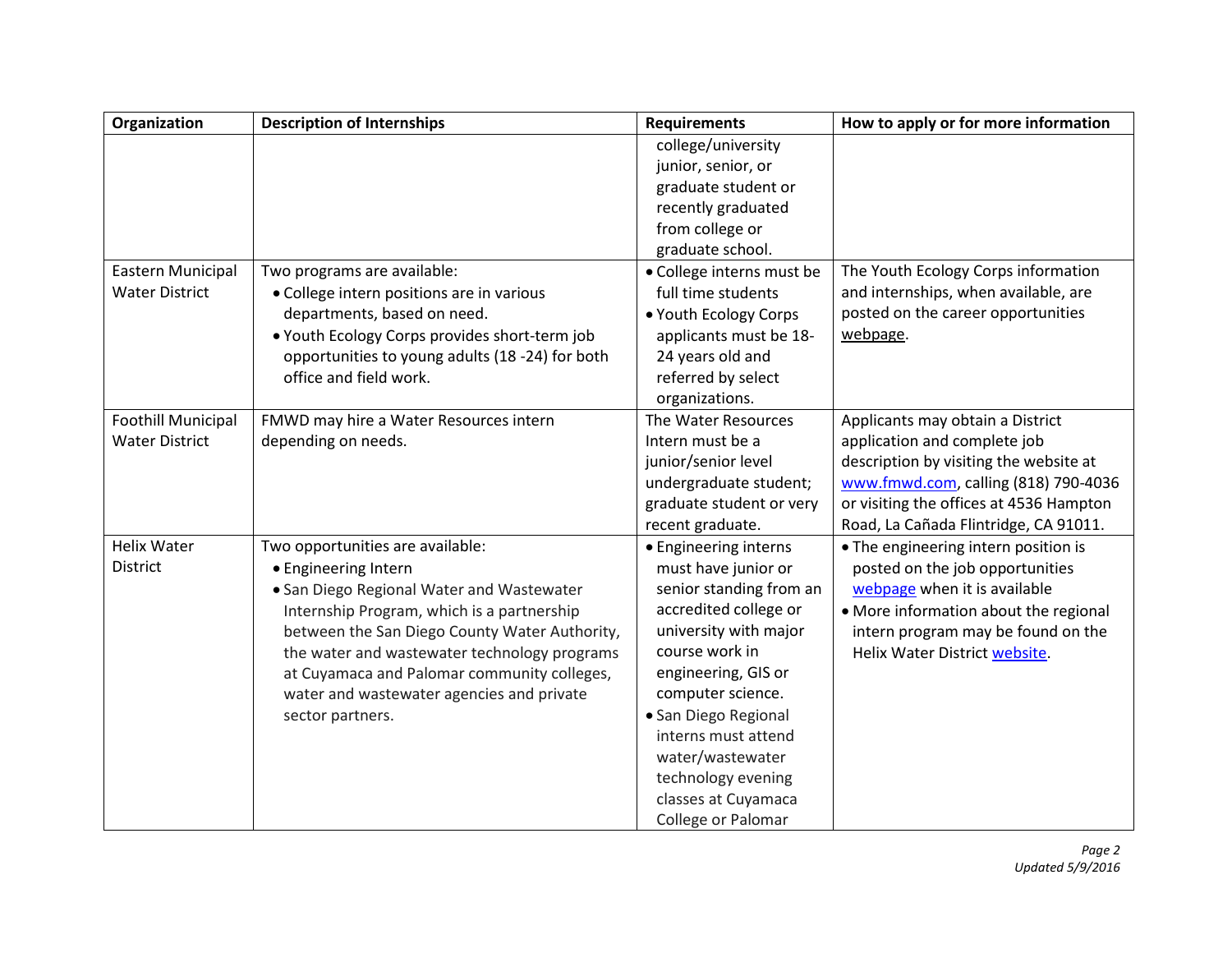| Organization              | <b>Description of Internships</b>               | <b>Requirements</b>       | How to apply or for more information    |
|---------------------------|-------------------------------------------------|---------------------------|-----------------------------------------|
|                           |                                                 | college/university        |                                         |
|                           |                                                 | junior, senior, or        |                                         |
|                           |                                                 | graduate student or       |                                         |
|                           |                                                 | recently graduated        |                                         |
|                           |                                                 | from college or           |                                         |
|                           |                                                 | graduate school.          |                                         |
| Eastern Municipal         | Two programs are available:                     | · College interns must be | The Youth Ecology Corps information     |
| <b>Water District</b>     | • College intern positions are in various       | full time students        | and internships, when available, are    |
|                           | departments, based on need.                     | . Youth Ecology Corps     | posted on the career opportunities      |
|                           | . Youth Ecology Corps provides short-term job   | applicants must be 18-    | webpage.                                |
|                           | opportunities to young adults (18 -24) for both | 24 years old and          |                                         |
|                           | office and field work.                          | referred by select        |                                         |
|                           |                                                 | organizations.            |                                         |
| <b>Foothill Municipal</b> | FMWD may hire a Water Resources intern          | The Water Resources       | Applicants may obtain a District        |
| <b>Water District</b>     | depending on needs.                             | Intern must be a          | application and complete job            |
|                           |                                                 | junior/senior level       | description by visiting the website at  |
|                           |                                                 | undergraduate student;    | www.fmwd.com, calling (818) 790-4036    |
|                           |                                                 | graduate student or very  | or visiting the offices at 4536 Hampton |
|                           |                                                 | recent graduate.          | Road, La Cañada Flintridge, CA 91011.   |
| <b>Helix Water</b>        | Two opportunities are available:                | • Engineering interns     | • The engineering intern position is    |
| <b>District</b>           | • Engineering Intern                            | must have junior or       | posted on the job opportunities         |
|                           | • San Diego Regional Water and Wastewater       | senior standing from an   | webpage when it is available            |
|                           | Internship Program, which is a partnership      | accredited college or     | • More information about the regional   |
|                           | between the San Diego County Water Authority,   | university with major     | intern program may be found on the      |
|                           | the water and wastewater technology programs    | course work in            | Helix Water District website.           |
|                           | at Cuyamaca and Palomar community colleges,     | engineering, GIS or       |                                         |
|                           | water and wastewater agencies and private       | computer science.         |                                         |
|                           | sector partners.                                | · San Diego Regional      |                                         |
|                           |                                                 | interns must attend       |                                         |
|                           |                                                 | water/wastewater          |                                         |
|                           |                                                 | technology evening        |                                         |
|                           |                                                 | classes at Cuyamaca       |                                         |
|                           |                                                 | College or Palomar        |                                         |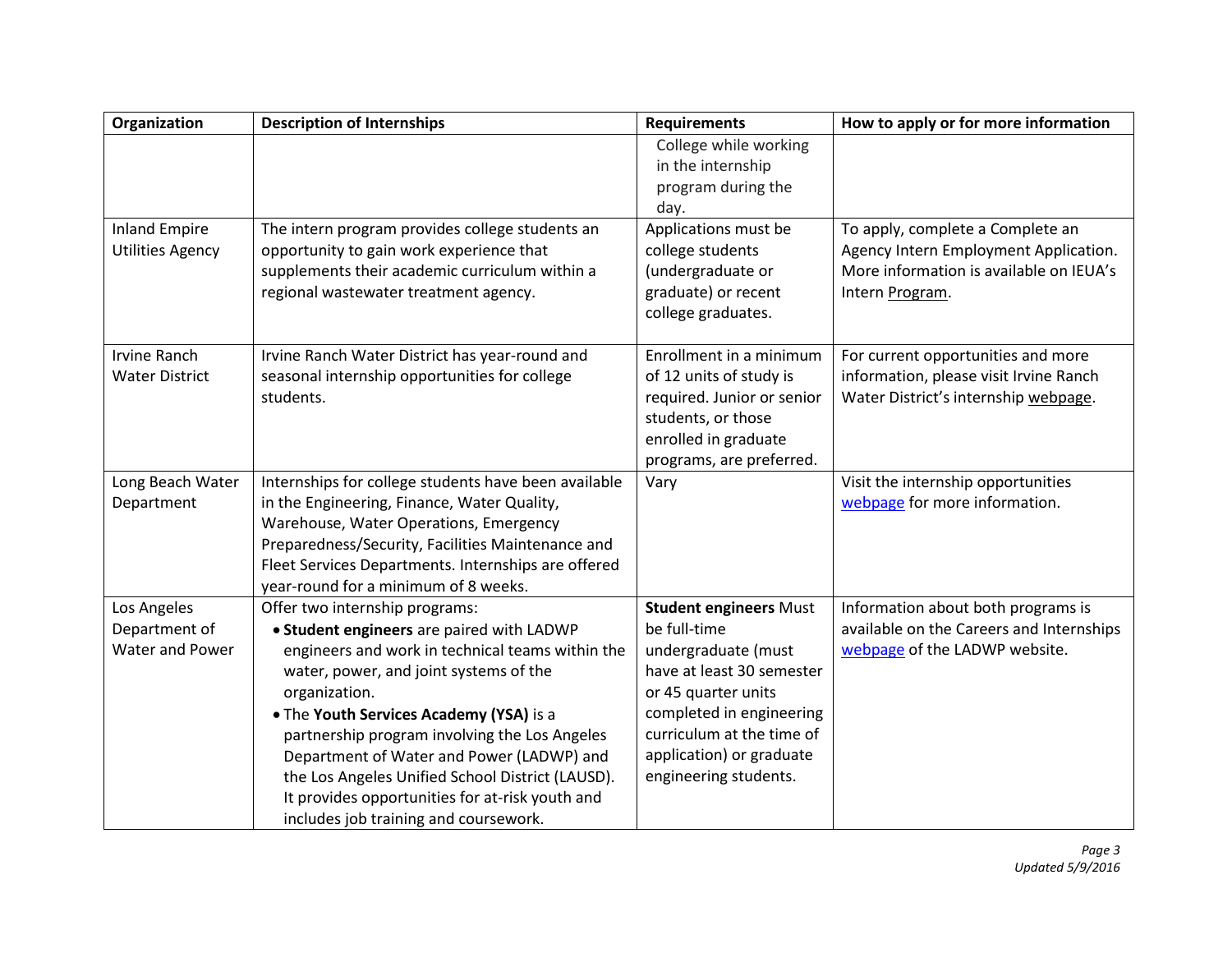| Organization            | <b>Description of Internships</b>                    | <b>Requirements</b>           | How to apply or for more information     |
|-------------------------|------------------------------------------------------|-------------------------------|------------------------------------------|
|                         |                                                      | College while working         |                                          |
|                         |                                                      | in the internship             |                                          |
|                         |                                                      | program during the            |                                          |
|                         |                                                      | day.                          |                                          |
| <b>Inland Empire</b>    | The intern program provides college students an      | Applications must be          | To apply, complete a Complete an         |
| <b>Utilities Agency</b> | opportunity to gain work experience that             | college students              | Agency Intern Employment Application.    |
|                         | supplements their academic curriculum within a       | (undergraduate or             | More information is available on IEUA's  |
|                         | regional wastewater treatment agency.                | graduate) or recent           | Intern Program.                          |
|                         |                                                      | college graduates.            |                                          |
| <b>Irvine Ranch</b>     | Irvine Ranch Water District has year-round and       | Enrollment in a minimum       | For current opportunities and more       |
| <b>Water District</b>   | seasonal internship opportunities for college        | of 12 units of study is       | information, please visit Irvine Ranch   |
|                         | students.                                            | required. Junior or senior    | Water District's internship webpage.     |
|                         |                                                      | students, or those            |                                          |
|                         |                                                      | enrolled in graduate          |                                          |
|                         |                                                      | programs, are preferred.      |                                          |
| Long Beach Water        | Internships for college students have been available | Vary                          | Visit the internship opportunities       |
| Department              | in the Engineering, Finance, Water Quality,          |                               | webpage for more information.            |
|                         | Warehouse, Water Operations, Emergency               |                               |                                          |
|                         | Preparedness/Security, Facilities Maintenance and    |                               |                                          |
|                         | Fleet Services Departments. Internships are offered  |                               |                                          |
|                         | year-round for a minimum of 8 weeks.                 |                               |                                          |
| Los Angeles             | Offer two internship programs:                       | <b>Student engineers Must</b> | Information about both programs is       |
| Department of           | • Student engineers are paired with LADWP            | be full-time                  | available on the Careers and Internships |
| <b>Water and Power</b>  | engineers and work in technical teams within the     | undergraduate (must           | webpage of the LADWP website.            |
|                         | water, power, and joint systems of the               | have at least 30 semester     |                                          |
|                         | organization.                                        | or 45 quarter units           |                                          |
|                         | . The Youth Services Academy (YSA) is a              | completed in engineering      |                                          |
|                         | partnership program involving the Los Angeles        | curriculum at the time of     |                                          |
|                         | Department of Water and Power (LADWP) and            | application) or graduate      |                                          |
|                         | the Los Angeles Unified School District (LAUSD).     | engineering students.         |                                          |
|                         | It provides opportunities for at-risk youth and      |                               |                                          |
|                         | includes job training and coursework.                |                               |                                          |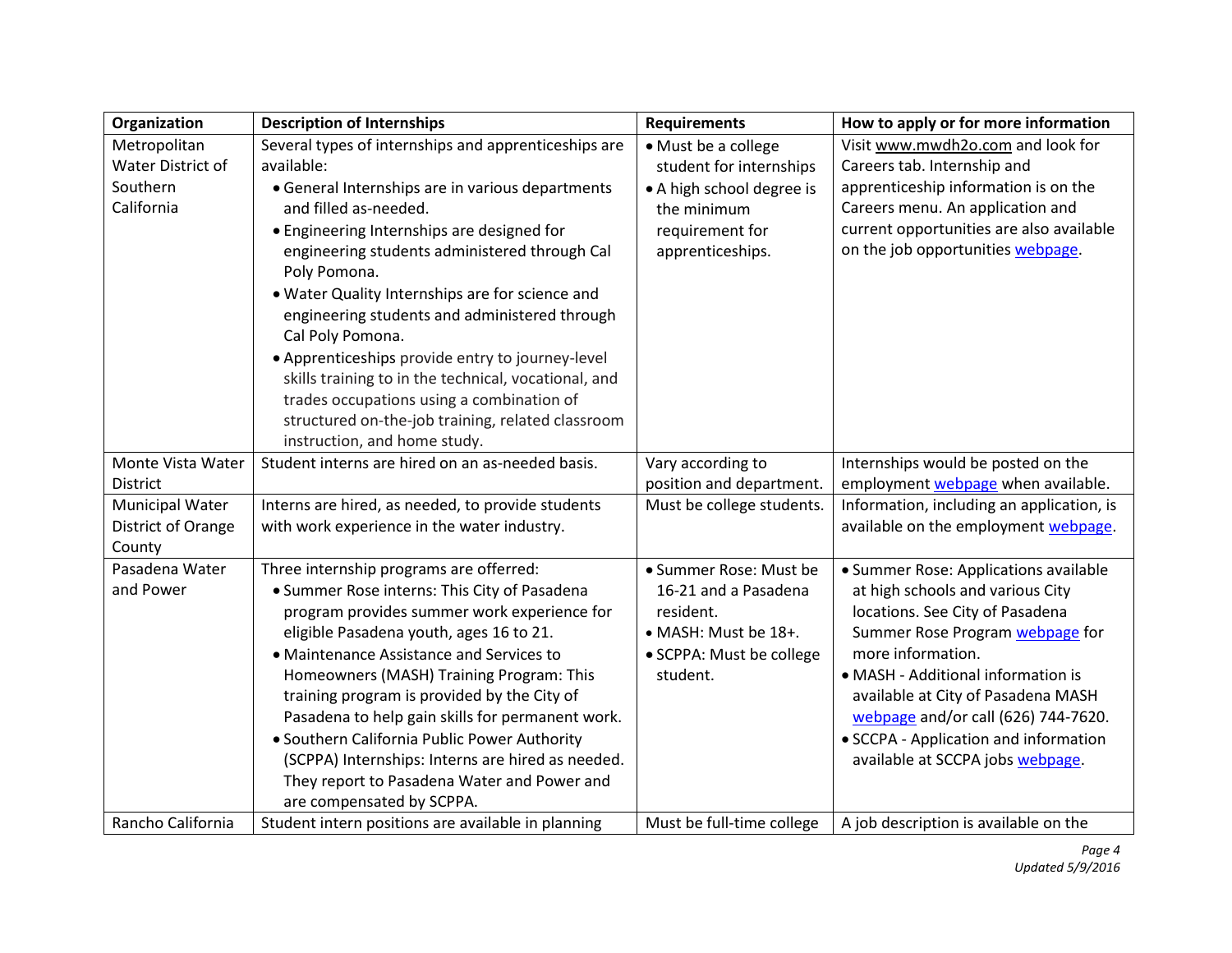| Organization                | <b>Description of Internships</b>                                                      | <b>Requirements</b>                            | How to apply or for more information                                |
|-----------------------------|----------------------------------------------------------------------------------------|------------------------------------------------|---------------------------------------------------------------------|
| Metropolitan                | Several types of internships and apprenticeships are                                   | • Must be a college                            | Visit www.mwdh2o.com and look for                                   |
| Water District of           | available:                                                                             | student for internships                        | Careers tab. Internship and                                         |
| Southern                    | • General Internships are in various departments                                       | • A high school degree is                      | apprenticeship information is on the                                |
| California                  | and filled as-needed.                                                                  | the minimum                                    | Careers menu. An application and                                    |
|                             | • Engineering Internships are designed for                                             | requirement for                                | current opportunities are also available                            |
|                             | engineering students administered through Cal                                          | apprenticeships.                               | on the job opportunities webpage.                                   |
|                             | Poly Pomona.                                                                           |                                                |                                                                     |
|                             | . Water Quality Internships are for science and                                        |                                                |                                                                     |
|                             | engineering students and administered through                                          |                                                |                                                                     |
|                             | Cal Poly Pomona.                                                                       |                                                |                                                                     |
|                             | • Apprenticeships provide entry to journey-level                                       |                                                |                                                                     |
|                             | skills training to in the technical, vocational, and                                   |                                                |                                                                     |
|                             | trades occupations using a combination of                                              |                                                |                                                                     |
|                             | structured on-the-job training, related classroom                                      |                                                |                                                                     |
|                             | instruction, and home study.                                                           |                                                |                                                                     |
| Monte Vista Water           | Student interns are hired on an as-needed basis.                                       | Vary according to                              | Internships would be posted on the                                  |
| District                    |                                                                                        | position and department.                       | employment webpage when available.                                  |
| <b>Municipal Water</b>      | Interns are hired, as needed, to provide students                                      | Must be college students.                      | Information, including an application, is                           |
| District of Orange          | with work experience in the water industry.                                            |                                                | available on the employment webpage.                                |
| County                      |                                                                                        |                                                |                                                                     |
| Pasadena Water<br>and Power | Three internship programs are offerred:                                                | · Summer Rose: Must be<br>16-21 and a Pasadena | • Summer Rose: Applications available                               |
|                             | • Summer Rose interns: This City of Pasadena                                           | resident.                                      | at high schools and various City<br>locations. See City of Pasadena |
|                             | program provides summer work experience for<br>eligible Pasadena youth, ages 16 to 21. | • MASH: Must be 18+.                           | Summer Rose Program webpage for                                     |
|                             | • Maintenance Assistance and Services to                                               | • SCPPA: Must be college                       | more information.                                                   |
|                             | Homeowners (MASH) Training Program: This                                               | student.                                       | • MASH - Additional information is                                  |
|                             | training program is provided by the City of                                            |                                                | available at City of Pasadena MASH                                  |
|                             | Pasadena to help gain skills for permanent work.                                       |                                                | webpage and/or call (626) 744-7620.                                 |
|                             | · Southern California Public Power Authority                                           |                                                | • SCCPA - Application and information                               |
|                             | (SCPPA) Internships: Interns are hired as needed.                                      |                                                | available at SCCPA jobs webpage.                                    |
|                             | They report to Pasadena Water and Power and                                            |                                                |                                                                     |
|                             | are compensated by SCPPA.                                                              |                                                |                                                                     |
| Rancho California           | Student intern positions are available in planning                                     | Must be full-time college                      | A job description is available on the                               |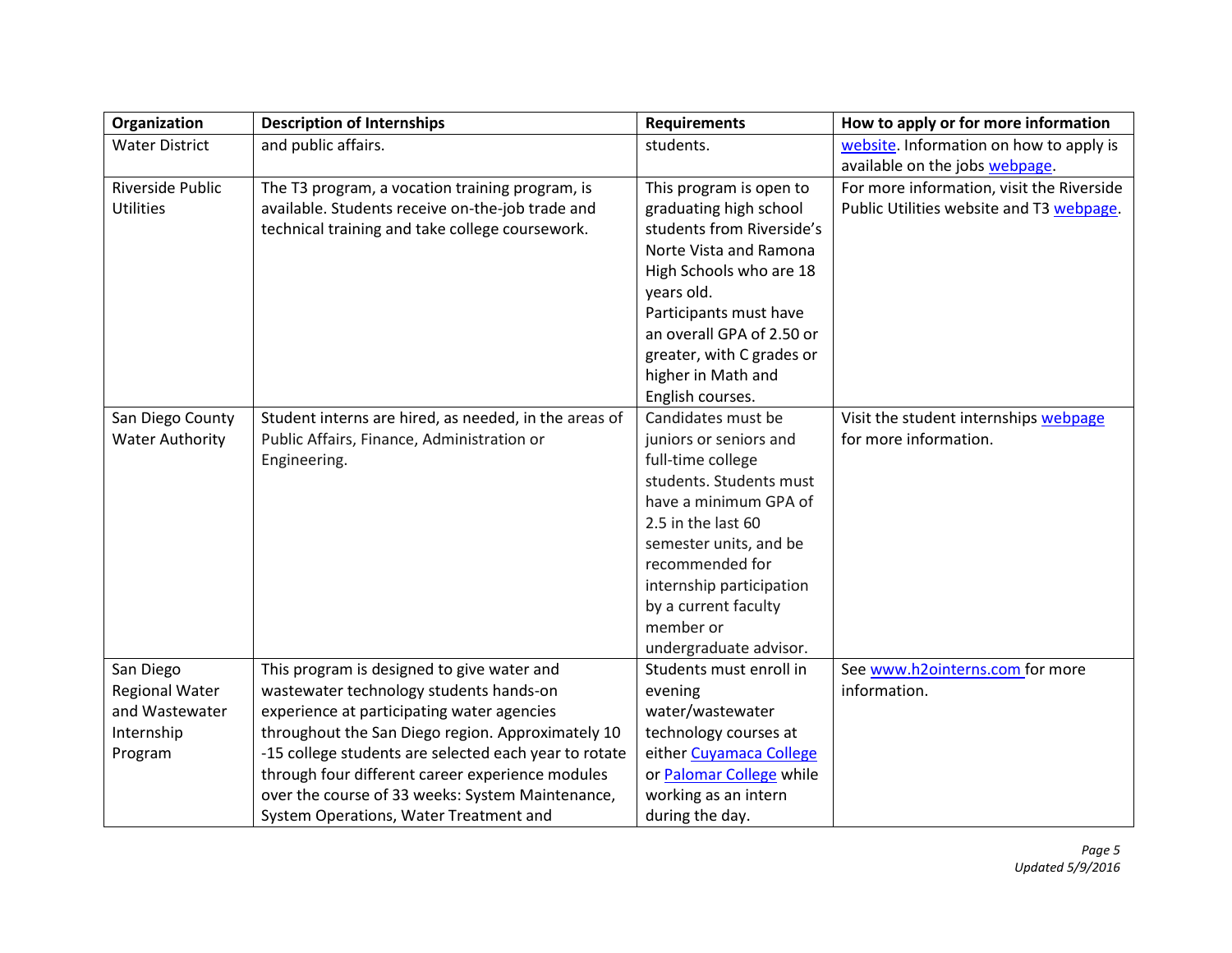| Organization           | <b>Description of Internships</b>                     | <b>Requirements</b>       | How to apply or for more information      |
|------------------------|-------------------------------------------------------|---------------------------|-------------------------------------------|
| <b>Water District</b>  | and public affairs.                                   | students.                 | website. Information on how to apply is   |
|                        |                                                       |                           | available on the jobs webpage.            |
| Riverside Public       | The T3 program, a vocation training program, is       | This program is open to   | For more information, visit the Riverside |
| <b>Utilities</b>       | available. Students receive on-the-job trade and      | graduating high school    | Public Utilities website and T3 webpage.  |
|                        | technical training and take college coursework.       | students from Riverside's |                                           |
|                        |                                                       | Norte Vista and Ramona    |                                           |
|                        |                                                       | High Schools who are 18   |                                           |
|                        |                                                       | years old.                |                                           |
|                        |                                                       | Participants must have    |                                           |
|                        |                                                       | an overall GPA of 2.50 or |                                           |
|                        |                                                       | greater, with C grades or |                                           |
|                        |                                                       | higher in Math and        |                                           |
|                        |                                                       | English courses.          |                                           |
| San Diego County       | Student interns are hired, as needed, in the areas of | Candidates must be        | Visit the student internships webpage     |
| <b>Water Authority</b> | Public Affairs, Finance, Administration or            | juniors or seniors and    | for more information.                     |
|                        | Engineering.                                          | full-time college         |                                           |
|                        |                                                       | students. Students must   |                                           |
|                        |                                                       | have a minimum GPA of     |                                           |
|                        |                                                       | 2.5 in the last 60        |                                           |
|                        |                                                       | semester units, and be    |                                           |
|                        |                                                       | recommended for           |                                           |
|                        |                                                       | internship participation  |                                           |
|                        |                                                       | by a current faculty      |                                           |
|                        |                                                       | member or                 |                                           |
|                        |                                                       | undergraduate advisor.    |                                           |
| San Diego              | This program is designed to give water and            | Students must enroll in   | See www.h2ointerns.com for more           |
| <b>Regional Water</b>  | wastewater technology students hands-on               | evening                   | information.                              |
| and Wastewater         | experience at participating water agencies            | water/wastewater          |                                           |
| Internship             | throughout the San Diego region. Approximately 10     | technology courses at     |                                           |
| Program                | -15 college students are selected each year to rotate | either Cuyamaca College   |                                           |
|                        | through four different career experience modules      | or Palomar College while  |                                           |
|                        | over the course of 33 weeks: System Maintenance,      | working as an intern      |                                           |
|                        | System Operations, Water Treatment and                | during the day.           |                                           |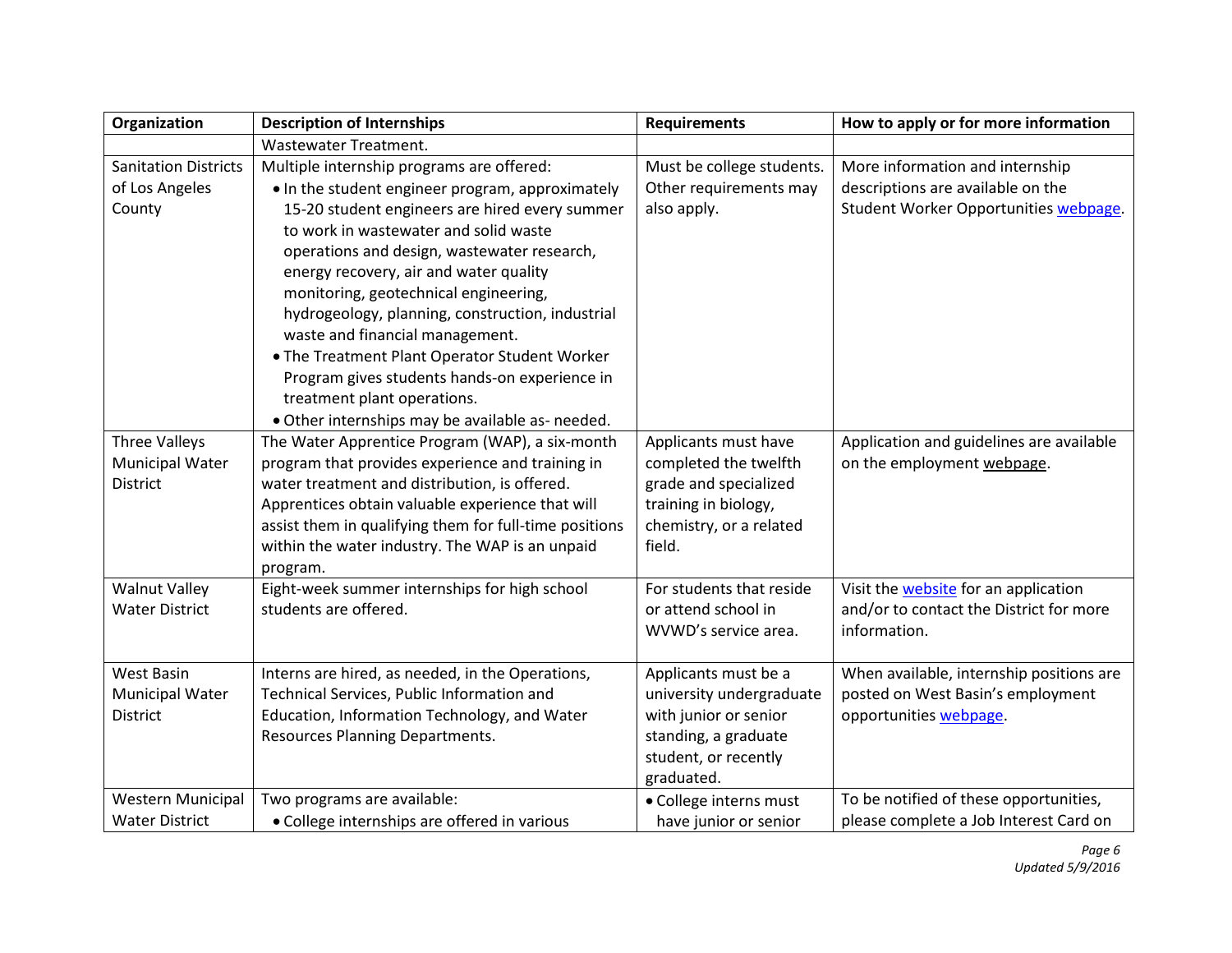| Organization                | <b>Description of Internships</b>                      | <b>Requirements</b>       | How to apply or for more information        |
|-----------------------------|--------------------------------------------------------|---------------------------|---------------------------------------------|
|                             | <b>Wastewater Treatment.</b>                           |                           |                                             |
| <b>Sanitation Districts</b> | Multiple internship programs are offered:              | Must be college students. | More information and internship             |
| of Los Angeles              | • In the student engineer program, approximately       | Other requirements may    | descriptions are available on the           |
| County                      | 15-20 student engineers are hired every summer         | also apply.               | Student Worker Opportunities webpage.       |
|                             | to work in wastewater and solid waste                  |                           |                                             |
|                             | operations and design, wastewater research,            |                           |                                             |
|                             | energy recovery, air and water quality                 |                           |                                             |
|                             | monitoring, geotechnical engineering,                  |                           |                                             |
|                             | hydrogeology, planning, construction, industrial       |                           |                                             |
|                             | waste and financial management.                        |                           |                                             |
|                             | . The Treatment Plant Operator Student Worker          |                           |                                             |
|                             | Program gives students hands-on experience in          |                           |                                             |
|                             | treatment plant operations.                            |                           |                                             |
|                             | . Other internships may be available as- needed.       |                           |                                             |
| Three Valleys               | The Water Apprentice Program (WAP), a six-month        | Applicants must have      | Application and guidelines are available    |
| Municipal Water             | program that provides experience and training in       | completed the twelfth     | on the employment webpage.                  |
| <b>District</b>             | water treatment and distribution, is offered.          | grade and specialized     |                                             |
|                             | Apprentices obtain valuable experience that will       | training in biology,      |                                             |
|                             | assist them in qualifying them for full-time positions | chemistry, or a related   |                                             |
|                             | within the water industry. The WAP is an unpaid        | field.                    |                                             |
|                             | program.                                               |                           |                                             |
| <b>Walnut Valley</b>        | Eight-week summer internships for high school          | For students that reside  | Visit the <b>website</b> for an application |
| <b>Water District</b>       | students are offered.                                  | or attend school in       | and/or to contact the District for more     |
|                             |                                                        | WVWD's service area.      | information.                                |
|                             |                                                        |                           |                                             |
| <b>West Basin</b>           | Interns are hired, as needed, in the Operations,       | Applicants must be a      | When available, internship positions are    |
| <b>Municipal Water</b>      | Technical Services, Public Information and             | university undergraduate  | posted on West Basin's employment           |
| <b>District</b>             | Education, Information Technology, and Water           | with junior or senior     | opportunities webpage.                      |
|                             | <b>Resources Planning Departments.</b>                 | standing, a graduate      |                                             |
|                             |                                                        | student, or recently      |                                             |
|                             |                                                        | graduated.                |                                             |
| <b>Western Municipal</b>    | Two programs are available:                            | · College interns must    | To be notified of these opportunities,      |
| <b>Water District</b>       | • College internships are offered in various           | have junior or senior     | please complete a Job Interest Card on      |